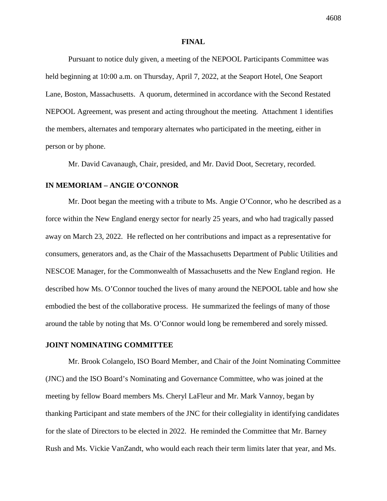### **FINAL**

Pursuant to notice duly given, a meeting of the NEPOOL Participants Committee was held beginning at 10:00 a.m. on Thursday, April 7, 2022, at the Seaport Hotel, One Seaport Lane, Boston, Massachusetts. A quorum, determined in accordance with the Second Restated NEPOOL Agreement, was present and acting throughout the meeting. Attachment 1 identifies the members, alternates and temporary alternates who participated in the meeting, either in person or by phone.

Mr. David Cavanaugh, Chair, presided, and Mr. David Doot, Secretary, recorded.

### **IN MEMORIAM – ANGIE O'CONNOR**

Mr. Doot began the meeting with a tribute to Ms. Angie O'Connor, who he described as a force within the New England energy sector for nearly 25 years, and who had tragically passed away on March 23, 2022. He reflected on her contributions and impact as a representative for consumers, generators and, as the Chair of the Massachusetts Department of Public Utilities and NESCOE Manager, for the Commonwealth of Massachusetts and the New England region. He described how Ms. O'Connor touched the lives of many around the NEPOOL table and how she embodied the best of the collaborative process. He summarized the feelings of many of those around the table by noting that Ms. O'Connor would long be remembered and sorely missed.

### **JOINT NOMINATING COMMITTEE**

Mr. Brook Colangelo, ISO Board Member, and Chair of the Joint Nominating Committee (JNC) and the ISO Board's Nominating and Governance Committee, who was joined at the meeting by fellow Board members Ms. Cheryl LaFleur and Mr. Mark Vannoy, began by thanking Participant and state members of the JNC for their collegiality in identifying candidates for the slate of Directors to be elected in 2022. He reminded the Committee that Mr. Barney Rush and Ms. Vickie VanZandt, who would each reach their term limits later that year, and Ms.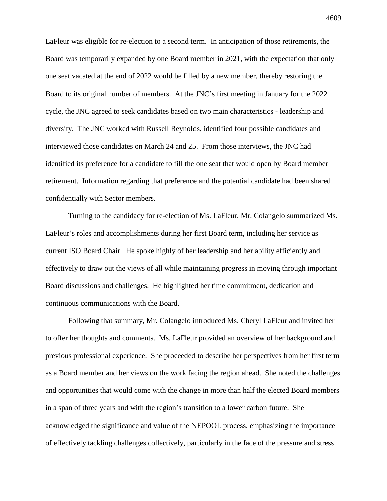LaFleur was eligible for re-election to a second term. In anticipation of those retirements, the Board was temporarily expanded by one Board member in 2021, with the expectation that only one seat vacated at the end of 2022 would be filled by a new member, thereby restoring the Board to its original number of members. At the JNC's first meeting in January for the 2022 cycle, the JNC agreed to seek candidates based on two main characteristics - leadership and diversity. The JNC worked with Russell Reynolds, identified four possible candidates and interviewed those candidates on March 24 and 25. From those interviews, the JNC had identified its preference for a candidate to fill the one seat that would open by Board member retirement. Information regarding that preference and the potential candidate had been shared confidentially with Sector members.

Turning to the candidacy for re-election of Ms. LaFleur, Mr. Colangelo summarized Ms. LaFleur's roles and accomplishments during her first Board term, including her service as current ISO Board Chair. He spoke highly of her leadership and her ability efficiently and effectively to draw out the views of all while maintaining progress in moving through important Board discussions and challenges. He highlighted her time commitment, dedication and continuous communications with the Board.

Following that summary, Mr. Colangelo introduced Ms. Cheryl LaFleur and invited her to offer her thoughts and comments. Ms. LaFleur provided an overview of her background and previous professional experience. She proceeded to describe her perspectives from her first term as a Board member and her views on the work facing the region ahead. She noted the challenges and opportunities that would come with the change in more than half the elected Board members in a span of three years and with the region's transition to a lower carbon future. She acknowledged the significance and value of the NEPOOL process, emphasizing the importance of effectively tackling challenges collectively, particularly in the face of the pressure and stress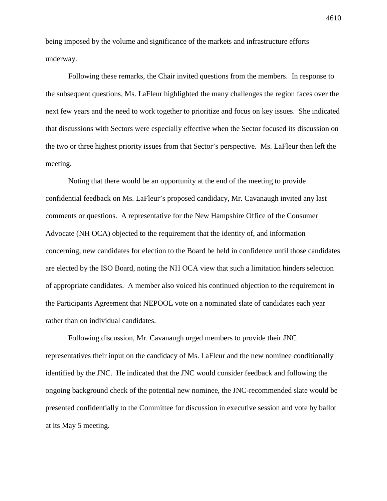being imposed by the volume and significance of the markets and infrastructure efforts underway.

Following these remarks, the Chair invited questions from the members. In response to the subsequent questions, Ms. LaFleur highlighted the many challenges the region faces over the next few years and the need to work together to prioritize and focus on key issues. She indicated that discussions with Sectors were especially effective when the Sector focused its discussion on the two or three highest priority issues from that Sector's perspective. Ms. LaFleur then left the meeting.

Noting that there would be an opportunity at the end of the meeting to provide confidential feedback on Ms. LaFleur's proposed candidacy, Mr. Cavanaugh invited any last comments or questions. A representative for the New Hampshire Office of the Consumer Advocate (NH OCA) objected to the requirement that the identity of, and information concerning, new candidates for election to the Board be held in confidence until those candidates are elected by the ISO Board, noting the NH OCA view that such a limitation hinders selection of appropriate candidates. A member also voiced his continued objection to the requirement in the Participants Agreement that NEPOOL vote on a nominated slate of candidates each year rather than on individual candidates.

Following discussion, Mr. Cavanaugh urged members to provide their JNC representatives their input on the candidacy of Ms. LaFleur and the new nominee conditionally identified by the JNC. He indicated that the JNC would consider feedback and following the ongoing background check of the potential new nominee, the JNC-recommended slate would be presented confidentially to the Committee for discussion in executive session and vote by ballot at its May 5 meeting.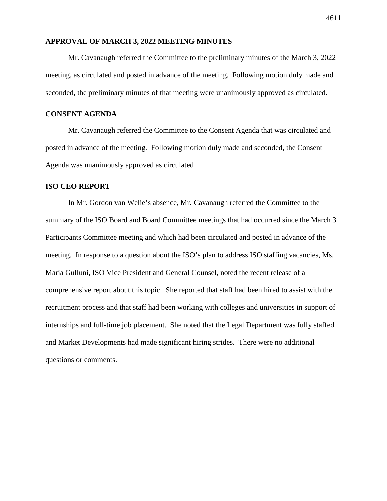# **APPROVAL OF MARCH 3, 2022 MEETING MINUTES**

Mr. Cavanaugh referred the Committee to the preliminary minutes of the March 3, 2022 meeting, as circulated and posted in advance of the meeting. Following motion duly made and seconded, the preliminary minutes of that meeting were unanimously approved as circulated.

### **CONSENT AGENDA**

Mr. Cavanaugh referred the Committee to the Consent Agenda that was circulated and posted in advance of the meeting. Following motion duly made and seconded, the Consent Agenda was unanimously approved as circulated.

# **ISO CEO REPORT**

In Mr. Gordon van Welie's absence, Mr. Cavanaugh referred the Committee to the summary of the ISO Board and Board Committee meetings that had occurred since the March 3 Participants Committee meeting and which had been circulated and posted in advance of the meeting. In response to a question about the ISO's plan to address ISO staffing vacancies, Ms. Maria Gulluni, ISO Vice President and General Counsel, noted the recent release of a comprehensive report about this topic. She reported that staff had been hired to assist with the recruitment process and that staff had been working with colleges and universities in support of internships and full-time job placement. She noted that the Legal Department was fully staffed and Market Developments had made significant hiring strides. There were no additional questions or comments.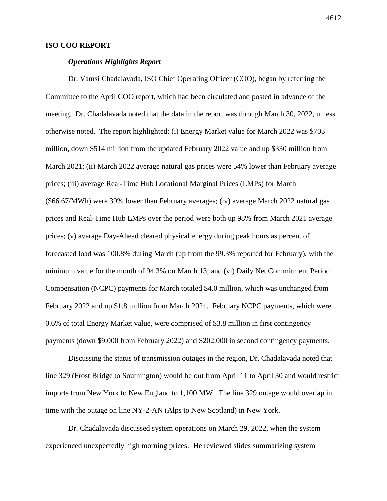# **ISO COO REPORT**

#### *Operations Highlights Report*

Dr. Vamsi Chadalavada, ISO Chief Operating Officer (COO), began by referring the Committee to the April COO report, which had been circulated and posted in advance of the meeting. Dr. Chadalavada noted that the data in the report was through March 30, 2022, unless otherwise noted. The report highlighted: (i) Energy Market value for March 2022 was \$703 million, down \$514 million from the updated February 2022 value and up \$330 million from March 2021; (ii) March 2022 average natural gas prices were 54% lower than February average prices; (iii) average Real-Time Hub Locational Marginal Prices (LMPs) for March (\$66.67/MWh) were 39% lower than February averages; (iv) average March 2022 natural gas prices and Real-Time Hub LMPs over the period were both up 98% from March 2021 average prices; (v) average Day-Ahead cleared physical energy during peak hours as percent of forecasted load was 100.8% during March (up from the 99.3% reported for February), with the minimum value for the month of 94.3% on March 13; and (vi) Daily Net Commitment Period Compensation (NCPC) payments for March totaled \$4.0 million, which was unchanged from February 2022 and up \$1.8 million from March 2021. February NCPC payments, which were 0.6% of total Energy Market value, were comprised of \$3.8 million in first contingency payments (down \$9,000 from February 2022) and \$202,000 in second contingency payments.

Discussing the status of transmission outages in the region, Dr. Chadalavada noted that line 329 (Frost Bridge to Southington) would be out from April 11 to April 30 and would restrict imports from New York to New England to 1,100 MW. The line 329 outage would overlap in time with the outage on line NY-2-AN (Alps to New Scotland) in New York.

Dr. Chadalavada discussed system operations on March 29, 2022, when the system experienced unexpectedly high morning prices. He reviewed slides summarizing system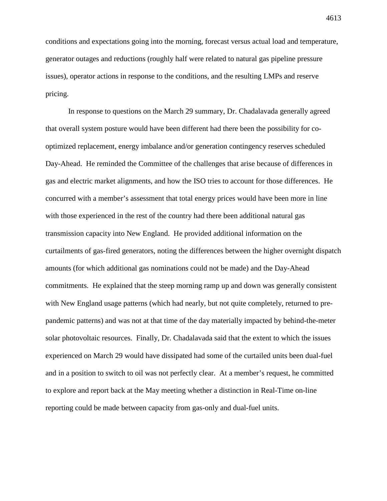conditions and expectations going into the morning, forecast versus actual load and temperature, generator outages and reductions (roughly half were related to natural gas pipeline pressure issues), operator actions in response to the conditions, and the resulting LMPs and reserve pricing.

In response to questions on the March 29 summary, Dr. Chadalavada generally agreed that overall system posture would have been different had there been the possibility for cooptimized replacement, energy imbalance and/or generation contingency reserves scheduled Day-Ahead. He reminded the Committee of the challenges that arise because of differences in gas and electric market alignments, and how the ISO tries to account for those differences. He concurred with a member's assessment that total energy prices would have been more in line with those experienced in the rest of the country had there been additional natural gas transmission capacity into New England. He provided additional information on the curtailments of gas-fired generators, noting the differences between the higher overnight dispatch amounts (for which additional gas nominations could not be made) and the Day-Ahead commitments. He explained that the steep morning ramp up and down was generally consistent with New England usage patterns (which had nearly, but not quite completely, returned to prepandemic patterns) and was not at that time of the day materially impacted by behind-the-meter solar photovoltaic resources. Finally, Dr. Chadalavada said that the extent to which the issues experienced on March 29 would have dissipated had some of the curtailed units been dual-fuel and in a position to switch to oil was not perfectly clear. At a member's request, he committed to explore and report back at the May meeting whether a distinction in Real-Time on-line reporting could be made between capacity from gas-only and dual-fuel units.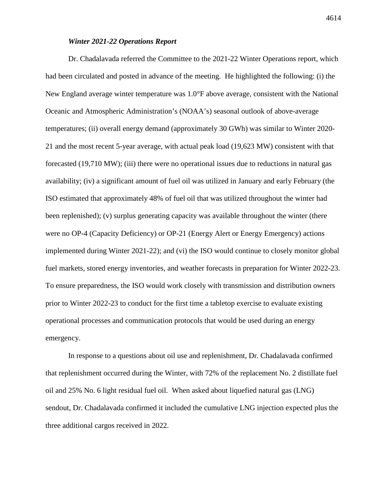# *Winter 2021-22 Operations Report*

Dr. Chadalavada referred the Committee to the 2021-22 Winter Operations report, which had been circulated and posted in advance of the meeting. He highlighted the following: (i) the New England average winter temperature was 1.0°F above average, consistent with the National Oceanic and Atmospheric Administration's (NOAA's) seasonal outlook of above-average temperatures; (ii) overall energy demand (approximately 30 GWh) was similar to Winter 2020- 21 and the most recent 5-year average, with actual peak load (19,623 MW) consistent with that forecasted (19,710 MW); (iii) there were no operational issues due to reductions in natural gas availability; (iv) a significant amount of fuel oil was utilized in January and early February (the ISO estimated that approximately 48% of fuel oil that was utilized throughout the winter had been replenished); (v) surplus generating capacity was available throughout the winter (there were no OP-4 (Capacity Deficiency) or OP-21 (Energy Alert or Energy Emergency) actions implemented during Winter 2021-22); and (vi) the ISO would continue to closely monitor global fuel markets, stored energy inventories, and weather forecasts in preparation for Winter 2022-23. To ensure preparedness, the ISO would work closely with transmission and distribution owners prior to Winter 2022-23 to conduct for the first time a tabletop exercise to evaluate existing operational processes and communication protocols that would be used during an energy emergency.

In response to a questions about oil use and replenishment, Dr. Chadalavada confirmed that replenishment occurred during the Winter, with 72% of the replacement No. 2 distillate fuel oil and 25% No. 6 light residual fuel oil. When asked about liquefied natural gas (LNG) sendout, Dr. Chadalavada confirmed it included the cumulative LNG injection expected plus the three additional cargos received in 2022.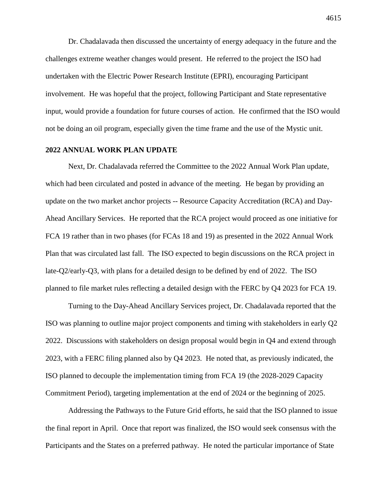Dr. Chadalavada then discussed the uncertainty of energy adequacy in the future and the challenges extreme weather changes would present. He referred to the project the ISO had undertaken with the Electric Power Research Institute (EPRI), encouraging Participant involvement. He was hopeful that the project, following Participant and State representative input, would provide a foundation for future courses of action. He confirmed that the ISO would not be doing an oil program, especially given the time frame and the use of the Mystic unit.

### **2022 ANNUAL WORK PLAN UPDATE**

Next, Dr. Chadalavada referred the Committee to the 2022 Annual Work Plan update, which had been circulated and posted in advance of the meeting. He began by providing an update on the two market anchor projects -- Resource Capacity Accreditation (RCA) and Day-Ahead Ancillary Services. He reported that the RCA project would proceed as one initiative for FCA 19 rather than in two phases (for FCAs 18 and 19) as presented in the 2022 Annual Work Plan that was circulated last fall. The ISO expected to begin discussions on the RCA project in late-Q2/early-Q3, with plans for a detailed design to be defined by end of 2022. The ISO planned to file market rules reflecting a detailed design with the FERC by Q4 2023 for FCA 19.

Turning to the Day-Ahead Ancillary Services project, Dr. Chadalavada reported that the ISO was planning to outline major project components and timing with stakeholders in early Q2 2022. Discussions with stakeholders on design proposal would begin in Q4 and extend through 2023, with a FERC filing planned also by Q4 2023. He noted that, as previously indicated, the ISO planned to decouple the implementation timing from FCA 19 (the 2028-2029 Capacity Commitment Period), targeting implementation at the end of 2024 or the beginning of 2025.

Addressing the Pathways to the Future Grid efforts, he said that the ISO planned to issue the final report in April. Once that report was finalized, the ISO would seek consensus with the Participants and the States on a preferred pathway. He noted the particular importance of State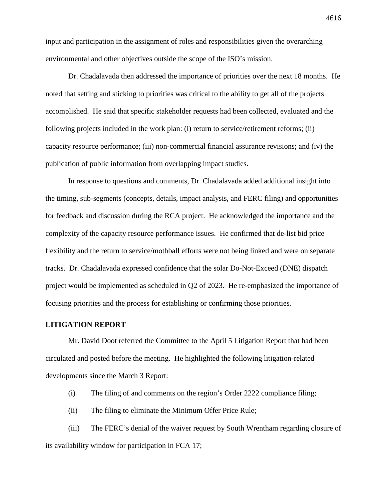input and participation in the assignment of roles and responsibilities given the overarching environmental and other objectives outside the scope of the ISO's mission.

Dr. Chadalavada then addressed the importance of priorities over the next 18 months. He noted that setting and sticking to priorities was critical to the ability to get all of the projects accomplished. He said that specific stakeholder requests had been collected, evaluated and the following projects included in the work plan: (i) return to service/retirement reforms; (ii) capacity resource performance; (iii) non-commercial financial assurance revisions; and (iv) the publication of public information from overlapping impact studies.

In response to questions and comments, Dr. Chadalavada added additional insight into the timing, sub-segments (concepts, details, impact analysis, and FERC filing) and opportunities for feedback and discussion during the RCA project. He acknowledged the importance and the complexity of the capacity resource performance issues. He confirmed that de-list bid price flexibility and the return to service/mothball efforts were not being linked and were on separate tracks. Dr. Chadalavada expressed confidence that the solar Do-Not-Exceed (DNE) dispatch project would be implemented as scheduled in Q2 of 2023. He re-emphasized the importance of focusing priorities and the process for establishing or confirming those priorities.

#### **LITIGATION REPORT**

Mr. David Doot referred the Committee to the April 5 Litigation Report that had been circulated and posted before the meeting. He highlighted the following litigation-related developments since the March 3 Report:

- (i) The filing of and comments on the region's Order 2222 compliance filing;
- (ii) The filing to eliminate the Minimum Offer Price Rule;

(iii) The FERC's denial of the waiver request by South Wrentham regarding closure of its availability window for participation in FCA 17;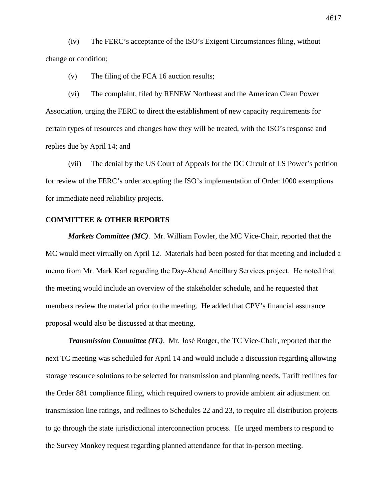(iv) The FERC's acceptance of the ISO's Exigent Circumstances filing, without change or condition;

(v) The filing of the FCA 16 auction results;

(vi) The complaint, filed by RENEW Northeast and the American Clean Power Association, urging the FERC to direct the establishment of new capacity requirements for certain types of resources and changes how they will be treated, with the ISO's response and replies due by April 14; and

(vii) The denial by the US Court of Appeals for the DC Circuit of LS Power's petition for review of the FERC's order accepting the ISO's implementation of Order 1000 exemptions for immediate need reliability projects.

# **COMMITTEE & OTHER REPORTS**

*Markets Committee (MC)*. Mr. William Fowler, the MC Vice-Chair, reported that the MC would meet virtually on April 12. Materials had been posted for that meeting and included a memo from Mr. Mark Karl regarding the Day‐Ahead Ancillary Services project. He noted that the meeting would include an overview of the stakeholder schedule, and he requested that members review the material prior to the meeting. He added that CPV's financial assurance proposal would also be discussed at that meeting.

*Transmission Committee (TC)*. Mr. José Rotger, the TC Vice-Chair, reported that the next TC meeting was scheduled for April 14 and would include a discussion regarding allowing storage resource solutions to be selected for transmission and planning needs, Tariff redlines for the Order 881 compliance filing, which required owners to provide ambient air adjustment on transmission line ratings, and redlines to Schedules 22 and 23, to require all distribution projects to go through the state jurisdictional interconnection process. He urged members to respond to the Survey Monkey request regarding planned attendance for that in-person meeting.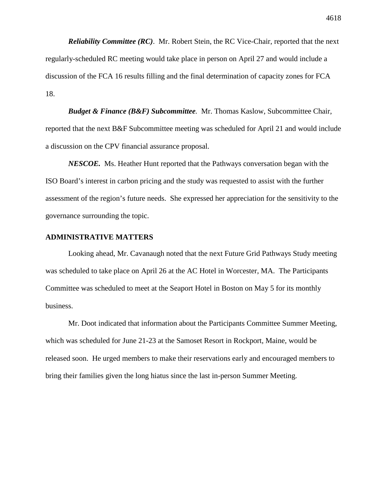*Reliability Committee (RC)*. Mr. Robert Stein, the RC Vice-Chair, reported that the next regularly-scheduled RC meeting would take place in person on April 27 and would include a discussion of the FCA 16 results filling and the final determination of capacity zones for FCA 18.

*Budget & Finance (B&F) Subcommittee.* Mr. Thomas Kaslow, Subcommittee Chair, reported that the next B&F Subcommittee meeting was scheduled for April 21 and would include a discussion on the CPV financial assurance proposal.

*NESCOE.* Ms. Heather Hunt reported that the Pathways conversation began with the ISO Board's interest in carbon pricing and the study was requested to assist with the further assessment of the region's future needs. She expressed her appreciation for the sensitivity to the governance surrounding the topic.

### **ADMINISTRATIVE MATTERS**

Looking ahead, Mr. Cavanaugh noted that the next Future Grid Pathways Study meeting was scheduled to take place on April 26 at the AC Hotel in Worcester, MA. The Participants Committee was scheduled to meet at the Seaport Hotel in Boston on May 5 for its monthly business.

Mr. Doot indicated that information about the Participants Committee Summer Meeting, which was scheduled for June 21-23 at the Samoset Resort in Rockport, Maine, would be released soon. He urged members to make their reservations early and encouraged members to bring their families given the long hiatus since the last in-person Summer Meeting.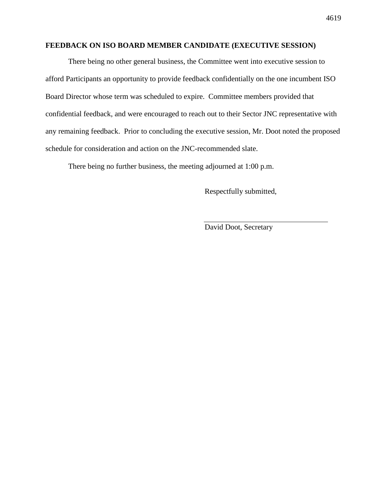# **FEEDBACK ON ISO BOARD MEMBER CANDIDATE (EXECUTIVE SESSION)**

There being no other general business, the Committee went into executive session to afford Participants an opportunity to provide feedback confidentially on the one incumbent ISO Board Director whose term was scheduled to expire. Committee members provided that confidential feedback, and were encouraged to reach out to their Sector JNC representative with any remaining feedback. Prior to concluding the executive session, Mr. Doot noted the proposed schedule for consideration and action on the JNC-recommended slate.

There being no further business, the meeting adjourned at 1:00 p.m.

Respectfully submitted,

David Doot, Secretary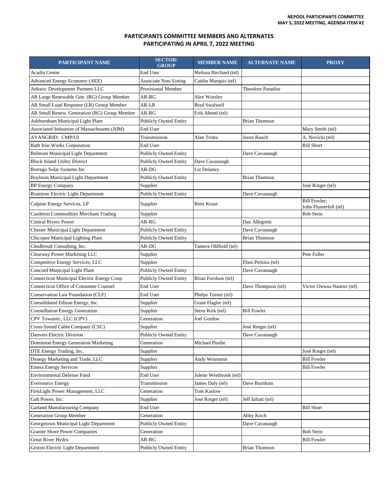#### **PARTICIPANTS COMMITTEE MEMBERS AND ALTERNATES PARTICIPATING IN APRIL 7, 2022 MEETING**

| PARTICIPANT NAME                              | <b>SECTOR</b><br><b>GROUP</b> | <b>MEMBER NAME</b>      | <b>ALTERNATE NAME</b> | <b>PROXY</b>                                 |
|-----------------------------------------------|-------------------------------|-------------------------|-----------------------|----------------------------------------------|
| Acadia Center                                 | End User                      | Melissa Birchard (tel)  |                       |                                              |
| Advanced Energy Economy (AEE)                 | <b>Associate Non-Voting</b>   | Caitlin Marquis (tel)   |                       |                                              |
| Anbaric Development Partners LLC              | <b>Provisional Member</b>     |                         | Theodore Paradise     |                                              |
| AR Large Renewable Gen. (RG) Group Member     | AR-RG                         | Alex Worsley            |                       |                                              |
| AR Small Load Response (LR) Group Member      | AR-LR                         | <b>Brad Swalwell</b>    |                       |                                              |
| AR Small Renew. Generation (RG) Group Member  | AR-RG                         | Erik Abend (tel)        |                       |                                              |
| Ashburnham Municipal Light Plant              | <b>Publicly Owned Entity</b>  |                         | <b>Brian Thomson</b>  |                                              |
| Associated Industries of Massachusetts (AIM)  | End User                      |                         |                       | Mary Smith (tel)                             |
| AVANGRID: CMP/UI                              | Transmission                  | Alan Trotta             | Jason Rauch           | A. Novicki (tel)                             |
| <b>Bath Iron Works Corporation</b>            | End User                      |                         |                       | <b>Bill Short</b>                            |
| <b>Belmont Municipal Light Department</b>     | <b>Publicly Owned Entity</b>  |                         | Dave Cavanaugh        |                                              |
| <b>Block Island Utility District</b>          | <b>Publicly Owned Entity</b>  | Dave Cavanaugh          |                       |                                              |
| Borrego Solar Systems Inc.                    | AR-DG                         | Liz Delaney             |                       |                                              |
| <b>Boylston Municipal Light Department</b>    | <b>Publicly Owned Entity</b>  |                         | <b>Brian Thomson</b>  |                                              |
| <b>BP</b> Energy Company                      | Supplier                      |                         |                       | José Rotger (tel)                            |
| <b>Braintree Electric Light Department</b>    | Publicly Owned Entity         |                         | Dave Cavanaugh        |                                              |
| Calpine Energy Services, LP                   | Supplier                      | Brett Kruse             |                       | <b>Bill Fowler;</b><br>John Flumerfelt (tel) |
| <b>Castleton Commodities Merchant Trading</b> | Supplier                      |                         |                       | <b>Bob Stein</b>                             |
| <b>Central Rivers Power</b>                   | AR-RG                         |                         | Dan Allegretti        |                                              |
| <b>Chester Municipal Light Department</b>     | <b>Publicly Owned Entity</b>  |                         | Dave Cavanaugh        |                                              |
| Chicopee Municipal Lighting Plant             | <b>Publicly Owned Entity</b>  |                         | <b>Brian Thomson</b>  |                                              |
| CleaResult Consulting, Inc.                   | AR-DG                         | Tamera Oldfield (tel)   |                       |                                              |
| Clearway Power Marketing LLC                  | Supplier                      |                         |                       | Pete Fuller                                  |
| Competitive Energy Services, LLC              | Supplier                      |                         | Eben Perkins (tel)    |                                              |
| Concord Municipal Light Plant                 | <b>Publicly Owned Entity</b>  |                         | Dave Cavanaugh        |                                              |
| Connecticut Municipal Electric Energy Coop.   | <b>Publicly Owned Entity</b>  | Brian Forshaw (tel)     |                       |                                              |
| <b>Connecticut Office of Consumer Counsel</b> | End User                      |                         | Dave Thompson (tel)   | Victor Owusu-Nantwi (tel)                    |
| Conservation Law Foundation (CLF)             | End User                      | Phelps Turner (tel)     |                       |                                              |
| Consolidated Edison Energy, Inc.              | Supplier                      | Grant Flagler (tel)     |                       |                                              |
| <b>Constellation Energy Generation</b>        | Supplier                      | Steve Kirk (tel)        | <b>Bill Fowler</b>    |                                              |
| CPV Towantic, LLC (CPV)                       | Generation                    | Joel Gordon             |                       |                                              |
| Cross-Sound Cable Company (CSC)               | Supplier                      |                         | José Rotger (tel)     |                                              |
| Danvers Electric Division                     | <b>Publicly Owned Entity</b>  |                         | Dave Cavanaugh        |                                              |
| Dominion Energy Generation Marketing          | Generation                    | Michael Purdie          |                       |                                              |
| DTE Energy Trading, Inc.                      | Supplier                      |                         |                       | José Rotger (tel)                            |
| Dynegy Marketing and Trade, LLC               | Supplier                      | Andy Weinstein          |                       | <b>Bill Fowler</b>                           |
| <b>Emera Energy Services</b>                  | Supplier                      |                         |                       | <b>Bill Fowler</b>                           |
| <b>Environmental Defense Fund</b>             | End User                      | Jolette Westbrook (tel) |                       |                                              |
| <b>Eversource Energy</b>                      | Transmission                  | James Daly (tel)        | Dave Burnham          |                                              |
| FirstLight Power Management, LLC              | Generation                    | Tom Kaslow              |                       |                                              |
| Galt Power, Inc.                              | Supplier                      | José Rotger (tel)       | Jeff Iafrati (tel)    |                                              |
| Garland Manufacturing Company                 | End User                      |                         |                       | <b>Bill Short</b>                            |
| <b>Generation Group Member</b>                | Generation                    |                         | Abby Krich            |                                              |
| Georgetown Municipal Light Department         | <b>Publicly Owned Entity</b>  |                         | Dave Cavanaugh        |                                              |
| <b>Granite Shore Power Companies</b>          | Generation                    |                         |                       | <b>Bob Stein</b>                             |
| Great River Hydro                             | AR-RG                         |                         |                       | <b>Bill Fowler</b>                           |
| Groton Electric Light Department              | Publicly Owned Entity         |                         | <b>Brian Thomson</b>  |                                              |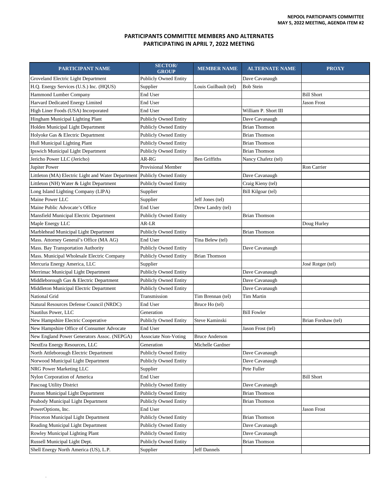#### **PARTICIPANTS COMMITTEE MEMBERS AND ALTERNATES PARTICIPATING IN APRIL 7, 2022 MEETING**

| PARTICIPANT NAME                                   | <b>SECTOR/</b><br><b>GROUP</b> | <b>MEMBER NAME</b>    | <b>ALTERNATE NAME</b> | <b>PROXY</b>        |
|----------------------------------------------------|--------------------------------|-----------------------|-----------------------|---------------------|
| Groveland Electric Light Department                | <b>Publicly Owned Entity</b>   |                       | Dave Cavanaugh        |                     |
| H.Q. Energy Services (U.S.) Inc. (HQUS)            | Supplier                       | Louis Guilbault (tel) | <b>Bob Stein</b>      |                     |
| <b>Hammond Lumber Company</b>                      | End User                       |                       |                       | <b>Bill Short</b>   |
| Harvard Dedicated Energy Limited                   | End User                       |                       |                       | <b>Jason Frost</b>  |
| High Liner Foods (USA) Incorporated                | End User                       |                       | William P. Short III  |                     |
| Hingham Municipal Lighting Plant                   | <b>Publicly Owned Entity</b>   |                       | Dave Cavanaugh        |                     |
| Holden Municipal Light Department                  | <b>Publicly Owned Entity</b>   |                       | <b>Brian Thomson</b>  |                     |
| Holyoke Gas & Electric Department                  | <b>Publicly Owned Entity</b>   |                       | <b>Brian Thomson</b>  |                     |
| Hull Municipal Lighting Plant                      | <b>Publicly Owned Entity</b>   |                       | <b>Brian Thomson</b>  |                     |
| Ipswich Municipal Light Department                 | <b>Publicly Owned Entity</b>   |                       | <b>Brian Thomson</b>  |                     |
| Jericho Power LLC (Jericho)                        | AR-RG                          | <b>Ben Griffiths</b>  | Nancy Chafetz (tel)   |                     |
| Jupiter Power                                      | Provisional Member             |                       |                       | Ron Carrier         |
| Littleton (MA) Electric Light and Water Department | <b>Publicly Owned Entity</b>   |                       | Dave Cavanaugh        |                     |
| Littleton (NH) Water & Light Department            | <b>Publicly Owned Entity</b>   |                       | Craig Kieny (tel)     |                     |
| Long Island Lighting Company (LIPA)                | Supplier                       |                       | Bill Kilgoar (tel)    |                     |
| Maine Power LLC                                    | Supplier                       | Jeff Jones (tel)      |                       |                     |
| Maine Public Advocate's Office                     | End User                       | Drew Landry (tel)     |                       |                     |
| Mansfield Municipal Electric Department            | <b>Publicly Owned Entity</b>   |                       | <b>Brian Thomson</b>  |                     |
| Maple Energy LLC                                   | AR-LR                          |                       |                       | Doug Hurley         |
| Marblehead Municipal Light Department              | <b>Publicly Owned Entity</b>   |                       | <b>Brian Thomson</b>  |                     |
| Mass. Attorney General's Office (MA AG)            | End User                       | Tina Belew (tel)      |                       |                     |
| Mass. Bay Transportation Authority                 | <b>Publicly Owned Entity</b>   |                       | Dave Cavanaugh        |                     |
| Mass. Municipal Wholesale Electric Company         | <b>Publicly Owned Entity</b>   | Brian Thomson         |                       |                     |
| Mercuria Energy America, LLC                       | Supplier                       |                       |                       | José Rotger (tel)   |
| Merrimac Municipal Light Department                | <b>Publicly Owned Entity</b>   |                       | Dave Cavanaugh        |                     |
| Middleborough Gas & Electric Department            | <b>Publicly Owned Entity</b>   |                       | Dave Cavanaugh        |                     |
| Middleton Municipal Electric Department            | <b>Publicly Owned Entity</b>   |                       | Dave Cavanaugh        |                     |
| National Grid                                      | Transmission                   | Tim Brennan (tel)     | Tim Martin            |                     |
| Natural Resources Defense Council (NRDC)           | End User                       | Bruce Ho (tel)        |                       |                     |
| Nautilus Power, LLC                                | Generation                     |                       | <b>Bill Fowler</b>    |                     |
| New Hampshire Electric Cooperative                 | <b>Publicly Owned Entity</b>   | Steve Kaminski        |                       | Brian Forshaw (tel) |
| New Hampshire Office of Consumer Advocate          | End User                       |                       | Jason Frost (tel)     |                     |
| New England Power Generators Assoc. (NEPGA)        | <b>Associate Non-Voting</b>    | <b>Bruce Anderson</b> |                       |                     |
| NextEra Energy Resources, LLC                      | Generation                     | Michelle Gardner      |                       |                     |
| North Attleborough Electric Department             | <b>Publicly Owned Entity</b>   |                       | Dave Cavanaugh        |                     |
| Norwood Municipal Light Department                 | <b>Publicly Owned Entity</b>   |                       | Dave Cavanaugh        |                     |
| NRG Power Marketing LLC                            | Supplier                       |                       | Pete Fuller           |                     |
| Nylon Corporation of America                       | End User                       |                       |                       | <b>Bill Short</b>   |
| Pascoag Utility District                           | Publicly Owned Entity          |                       | Dave Cavanaugh        |                     |
| Paxton Municipal Light Department                  | <b>Publicly Owned Entity</b>   |                       | <b>Brian Thomson</b>  |                     |
| Peabody Municipal Light Department                 | <b>Publicly Owned Entity</b>   |                       | <b>Brian Thomson</b>  |                     |
| PowerOptions, Inc.                                 | End User                       |                       |                       | Jason Frost         |
| Princeton Municipal Light Department               | <b>Publicly Owned Entity</b>   |                       | Brian Thomson         |                     |
| Reading Municipal Light Department                 | <b>Publicly Owned Entity</b>   |                       | Dave Cavanaugh        |                     |
| Rowley Municipal Lighting Plant                    | <b>Publicly Owned Entity</b>   |                       | Dave Cavanaugh        |                     |
| Russell Municipal Light Dept.                      | <b>Publicly Owned Entity</b>   |                       | <b>Brian Thomson</b>  |                     |
| Shell Energy North America (US), L.P.              | Supplier                       | Jeff Dannels          |                       |                     |

.